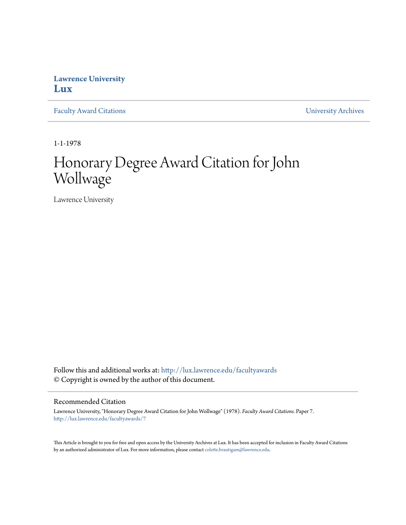## **Lawrence University [Lux](http://lux.lawrence.edu?utm_source=lux.lawrence.edu%2Ffacultyawards%2F7&utm_medium=PDF&utm_campaign=PDFCoverPages)**

[Faculty Award Citations](http://lux.lawrence.edu/facultyawards?utm_source=lux.lawrence.edu%2Ffacultyawards%2F7&utm_medium=PDF&utm_campaign=PDFCoverPages) **Example 2018** [University Archives](http://lux.lawrence.edu/archives?utm_source=lux.lawrence.edu%2Ffacultyawards%2F7&utm_medium=PDF&utm_campaign=PDFCoverPages)

1-1-1978

# Honorary Degree Award Citation for John Wollwage

Lawrence University

Follow this and additional works at: [http://lux.lawrence.edu/facultyawards](http://lux.lawrence.edu/facultyawards?utm_source=lux.lawrence.edu%2Ffacultyawards%2F7&utm_medium=PDF&utm_campaign=PDFCoverPages) © Copyright is owned by the author of this document.

#### Recommended Citation

Lawrence University, "Honorary Degree Award Citation for John Wollwage" (1978). *Faculty Award Citations.* Paper 7. [http://lux.lawrence.edu/facultyawards/7](http://lux.lawrence.edu/facultyawards/7?utm_source=lux.lawrence.edu%2Ffacultyawards%2F7&utm_medium=PDF&utm_campaign=PDFCoverPages)

This Article is brought to you for free and open access by the University Archives at Lux. It has been accepted for inclusion in Faculty Award Citations by an authorized administrator of Lux. For more information, please contact [colette.brautigam@lawrence.edu](mailto:colette.brautigam@lawrence.edu).